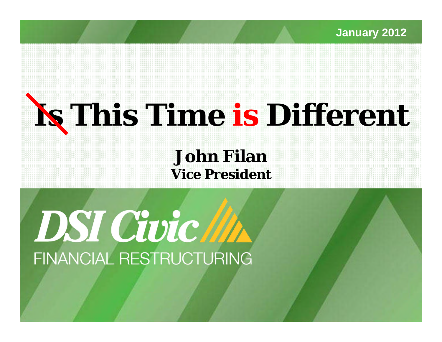**January 2012**

# **Is This Time is Different**

**John FilanVice President**

DSI Civic M FINANCIAL RESTRUCTURING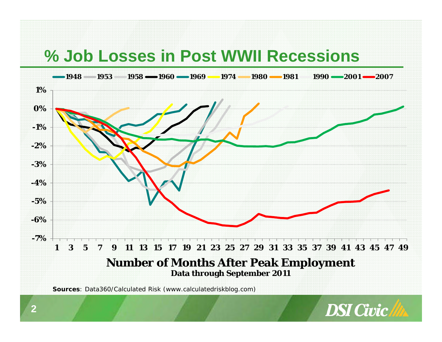### **% Job Losses in Post WWII Recessions**



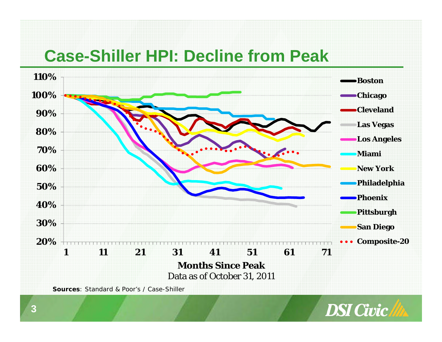### **Case-Shiller HPI: Decline from Peak**



![](_page_2_Picture_2.jpeg)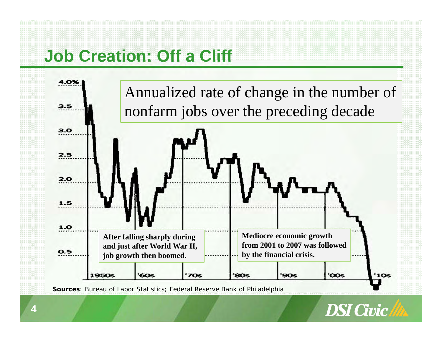# **Job Creation: Off a Cliff**

![](_page_3_Figure_1.jpeg)

**Sources**: *Bureau of Labor Statistics; Federal Reserve Bank of Philadelphia*

![](_page_3_Picture_3.jpeg)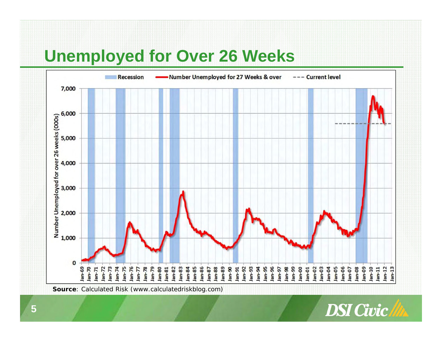# **Unemployed for Over 26 Weeks**

![](_page_4_Figure_1.jpeg)

![](_page_4_Picture_2.jpeg)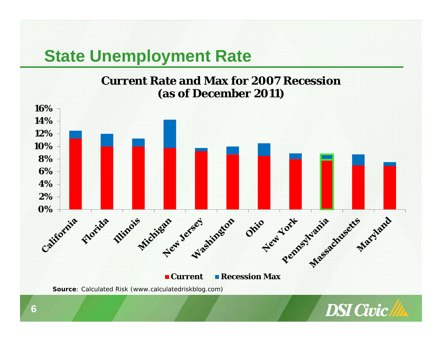## **State Unemployment Rate**

![](_page_5_Figure_1.jpeg)

![](_page_5_Picture_2.jpeg)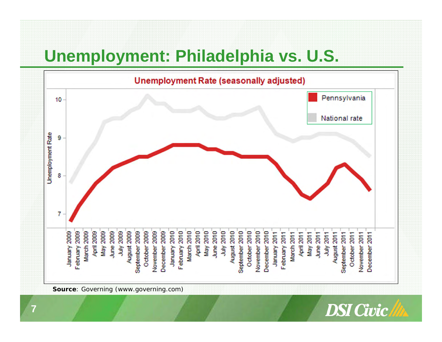# **Unemployment: Philadelphia vs. U.S.**

![](_page_6_Figure_1.jpeg)

![](_page_6_Picture_2.jpeg)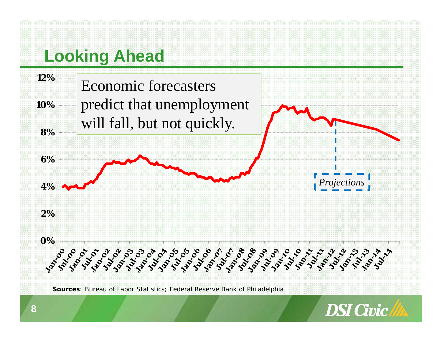# **Looking Ahead**

![](_page_7_Figure_1.jpeg)

![](_page_7_Figure_2.jpeg)